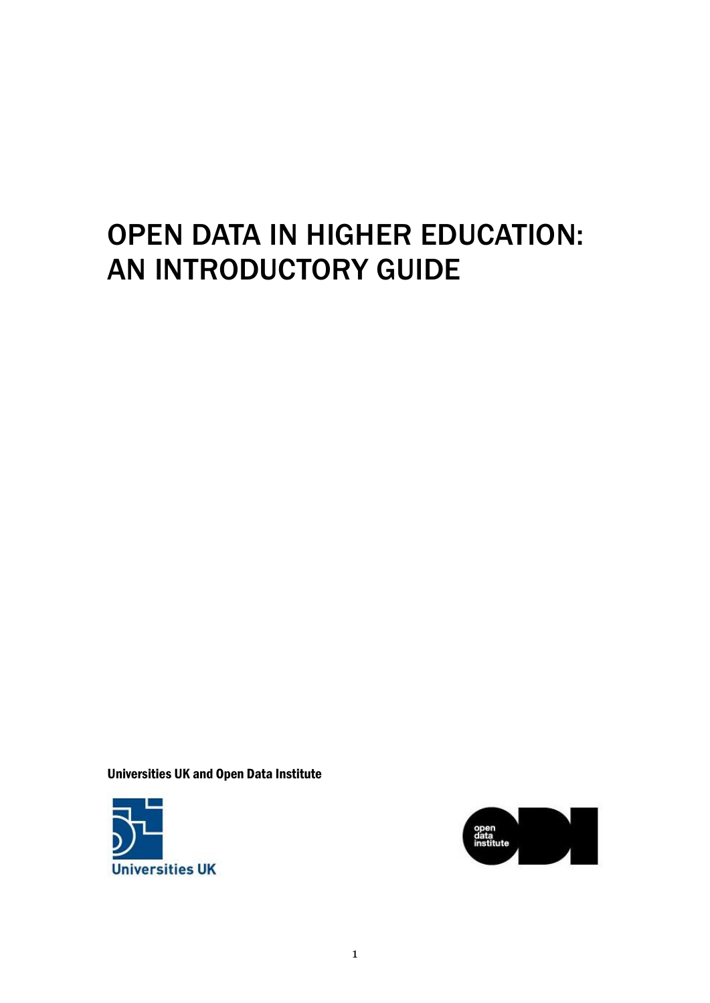# OPEN DATA IN HIGHER EDUCATION: AN INTRODUCTORY GUIDE

Universities UK and Open Data Institute



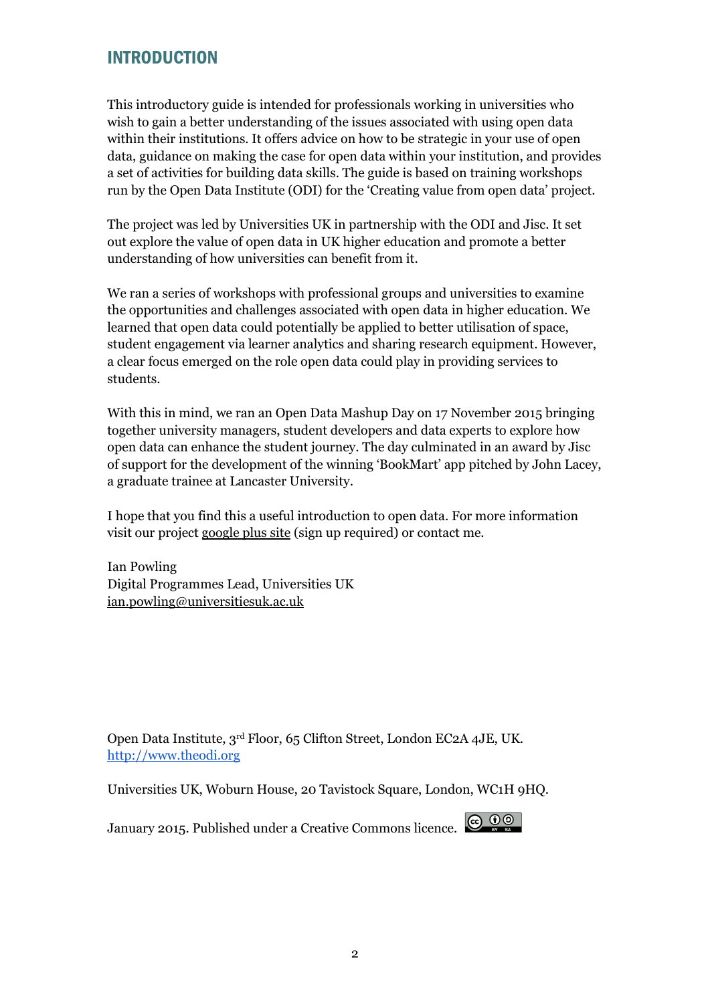# INTRODUCTION

This introductory guide is intended for professionals working in universities who wish to gain a better understanding of the issues associated with using open data within their institutions. It offers advice on how to be strategic in your use of open data, guidance on making the case for open data within your institution, and provides a set of activities for building data skills. The guide is based on training workshops run by the Open Data Institute (ODI) for the 'Creating value from open data' project.

The project was led by Universities UK in partnership with the ODI and Jisc. It set out explore the value of open data in UK higher education and promote a better understanding of how universities can benefit from it.

We ran a series of workshops with professional groups and universities to examine the opportunities and challenges associated with open data in higher education. We learned that open data could potentially be applied to better utilisation of space, student engagement via learner analytics and sharing research equipment. However, a clear focus emerged on the role open data could play in providing services to students.

With this in mind, we ran an Open Data Mashup Day on 17 November 2015 bringing together university managers, student developers and data experts to explore how open data can enhance the student journey. The day culminated in an award by Jisc of support for the development of the winning 'BookMart' app pitched by John Lacey, a graduate trainee at Lancaster University.

I hope that you find this a useful introduction to open data. For more information visit our project [google plus site](https://plus.google.com/communities/118183100660579176571) (sign up required) or contact me.

Ian Powling Digital Programmes Lead, Universities UK [ian.powling@universitiesuk.ac.uk](mailto:ian.powling@universitiesuk.ac.uk)

Open Data Institute, 3rd Floor, 65 Clifton Street, London EC2A 4JE, UK. [http://www.theodi.org](http://www.theodi.org/)

Universities UK, Woburn House, 20 Tavistock Square, London, WC1H 9HQ.

January 2015. Published under a Creative Commons licence.

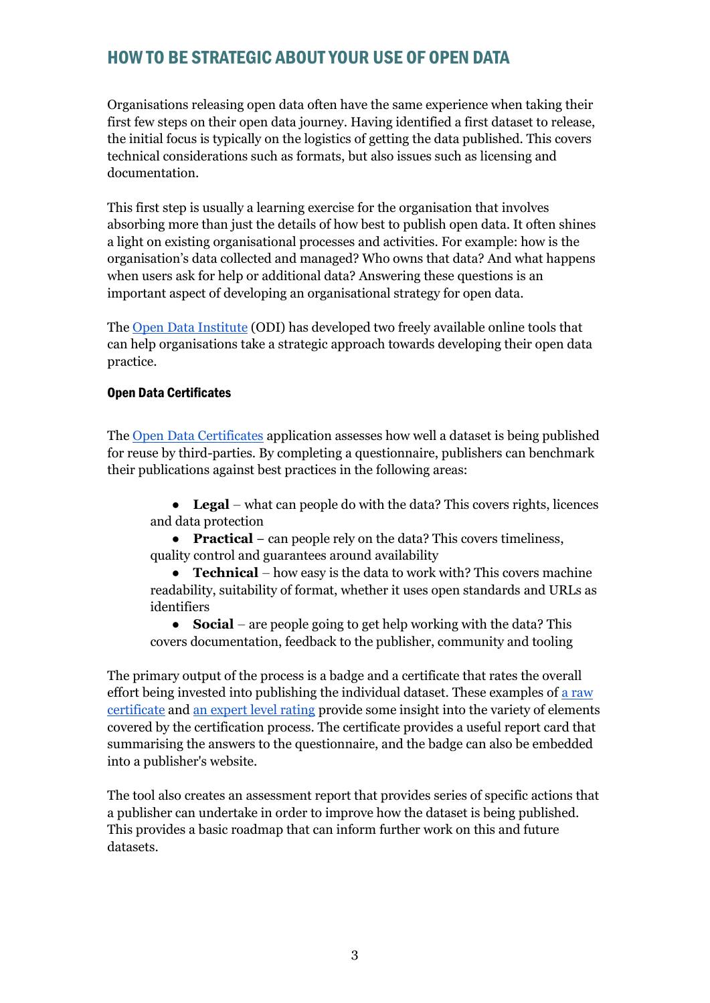# HOW TO BE STRATEGIC ABOUT YOUR USE OF OPEN DATA

Organisations releasing open data often have the same experience when taking their first few steps on their open data journey. Having identified a first dataset to release, the initial focus is typically on the logistics of getting the data published. This covers technical considerations such as formats, but also issues such as licensing and documentation.

This first step is usually a learning exercise for the organisation that involves absorbing more than just the details of how best to publish open data. It often shines a light on existing organisational processes and activities. For example: how is the organisation's data collected and managed? Who owns that data? And what happens when users ask for help or additional data? Answering these questions is an important aspect of developing an organisational strategy for open data.

The [Open Data Institute](http://theodi.org/) (ODI) has developed two freely available online tools that can help organisations take a strategic approach towards developing their open data practice.

## Open Data Certificates

The [Open Data Certificates](https://certificates.theodi.org/) application assesses how well a dataset is being published for reuse by third-parties. By completing a questionnaire, publishers can benchmark their publications against best practices in the following areas:

● **Legal** – what can people do with the data? This covers rights, licences and data protection

● **Practical** − can people rely on the data? This covers timeliness, quality control and guarantees around availability

● **Technical** – how easy is the data to work with? This covers machine readability, suitability of format, whether it uses open standards and URLs as identifiers

● **Social** – are people going to get help working with the data? This covers documentation, feedback to the publisher, community and tooling

The primary output of the process is a badge and a certificate that rates the overall effort being invested into publishing the individual dataset. These examples of a raw [certificate](http://bit.ly/example-raw) and [an expert level rating](http://bit.ly/example-expert) provide some insight into the variety of elements covered by the certification process. The certificate provides a useful report card that summarising the answers to the questionnaire, and the badge can also be embedded into a publisher's website.

The tool also creates an assessment report that provides series of specific actions that a publisher can undertake in order to improve how the dataset is being published. This provides a basic roadmap that can inform further work on this and future datasets.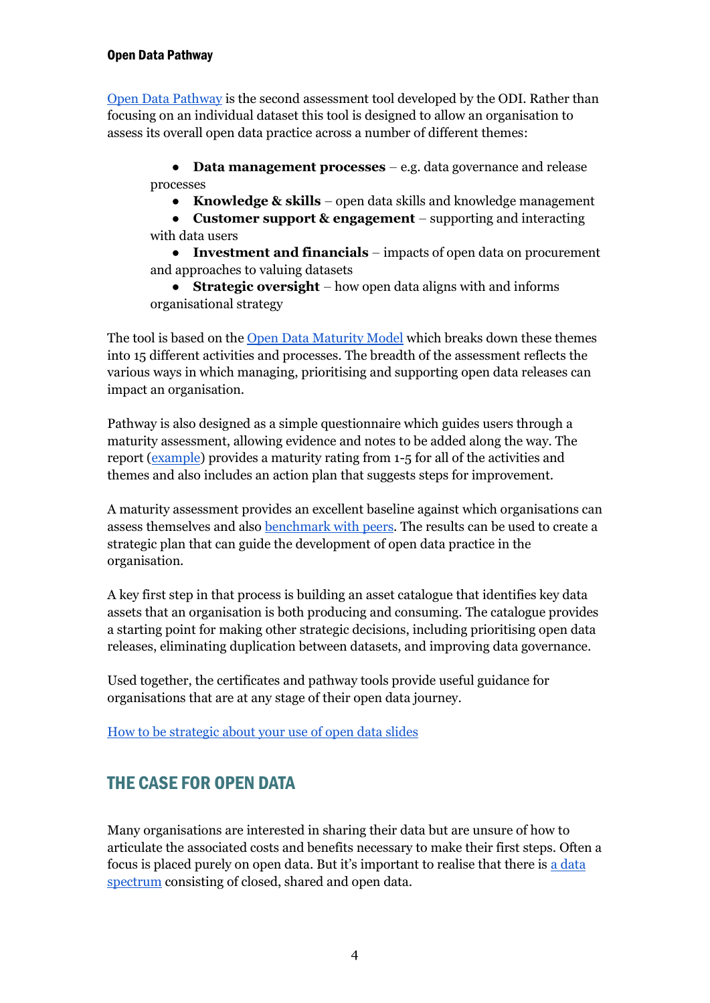[Open Data Pathway](http://pathway.theodi.org/) is the second assessment tool developed by the ODI. Rather than focusing on an individual dataset this tool is designed to allow an organisation to assess its overall open data practice across a number of different themes:

● **Data management processes** – e.g. data governance and release processes

● **Knowledge & skills** – open data skills and knowledge management

● **Customer support & engagement** – supporting and interacting with data users

● **Investment and financials** – impacts of open data on procurement and approaches to valuing datasets

● **Strategic oversight** – how open data aligns with and informs organisational strategy

The tool is based on the [Open Data Maturity Model](http://theodi.org/maturity-model) which breaks down these themes into 15 different activities and processes. The breadth of the assessment reflects the various ways in which managing, prioritising and supporting open data releases can impact an organisation.

Pathway is also designed as a simple questionnaire which guides users through a maturity assessment, allowing evidence and notes to be added along the way. The report [\(example\)](http://bit.ly/example-pathway) provides a maturity rating from 1-5 for all of the activities and themes and also includes an action plan that suggests steps for improvement.

A maturity assessment provides an excellent baseline against which organisations can assess themselves and also **benchmark** with peers. The results can be used to create a strategic plan that can guide the development of open data practice in the organisation.

A key first step in that process is building an asset catalogue that identifies key data assets that an organisation is both producing and consuming. The catalogue provides a starting point for making other strategic decisions, including prioritising open data releases, eliminating duplication between datasets, and improving data governance.

Used together, the certificates and pathway tools provide useful guidance for organisations that are at any stage of their open data journey.

[How to be strategic about your use of open data slides](https://docs.google.com/presentation/d/1xSVbriwPh1xwqfNvkilAohC6_iKGG-MOHqu37G-CwlA/edit#slide=id.ge8e174cdd_0_0)

# THE CASE FOR OPEN DATA

Many organisations are interested in sharing their data but are unsure of how to articulate the associated costs and benefits necessary to make their first steps. Often a focus is placed purely on open data. But it's important to realise that there is [a data](http://theodi.org/data-spectrum)  [spectrum](http://theodi.org/data-spectrum) consisting of closed, shared and open data.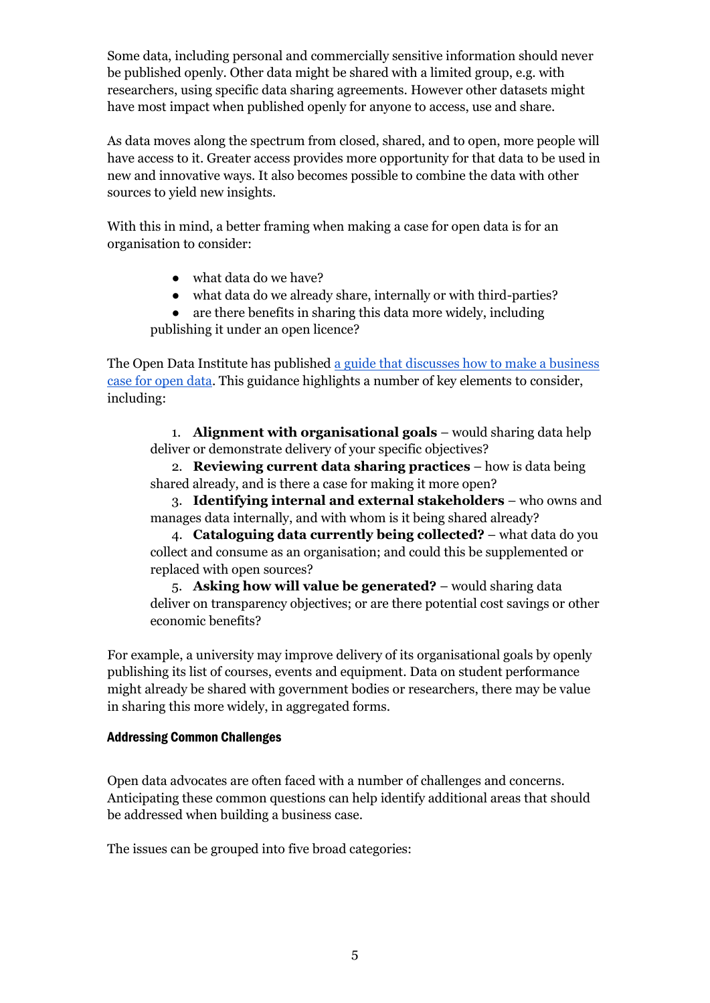Some data, including personal and commercially sensitive information should never be published openly. Other data might be shared with a limited group, e.g. with researchers, using specific data sharing agreements. However other datasets might have most impact when published openly for anyone to access, use and share.

As data moves along the spectrum from closed, shared, and to open, more people will have access to it. Greater access provides more opportunity for that data to be used in new and innovative ways. It also becomes possible to combine the data with other sources to yield new insights.

With this in mind, a better framing when making a case for open data is for an organisation to consider:

- what data do we have?
- what data do we already share, internally or with third-parties?
- are there benefits in sharing this data more widely, including publishing it under an open licence?

The Open Data Institute has published [a guide that discusses how to make a business](http://theodi.org/guides/how-make-business-case-open-data)  [case for open data.](http://theodi.org/guides/how-make-business-case-open-data) This guidance highlights a number of key elements to consider, including:

1. **Alignment with organisational goals** – would sharing data help deliver or demonstrate delivery of your specific objectives?

2. **Reviewing current data sharing practices** – how is data being shared already, and is there a case for making it more open?

3. **Identifying internal and external stakeholders** – who owns and manages data internally, and with whom is it being shared already?

4. **Cataloguing data currently being collected?** – what data do you collect and consume as an organisation; and could this be supplemented or replaced with open sources?

5. **Asking how will value be generated?** – would sharing data deliver on transparency objectives; or are there potential cost savings or other economic benefits?

For example, a university may improve delivery of its organisational goals by openly publishing its list of courses, events and equipment. Data on student performance might already be shared with government bodies or researchers, there may be value in sharing this more widely, in aggregated forms.

#### Addressing Common Challenges

Open data advocates are often faced with a number of challenges and concerns. Anticipating these common questions can help identify additional areas that should be addressed when building a business case.

The issues can be grouped into five broad categories: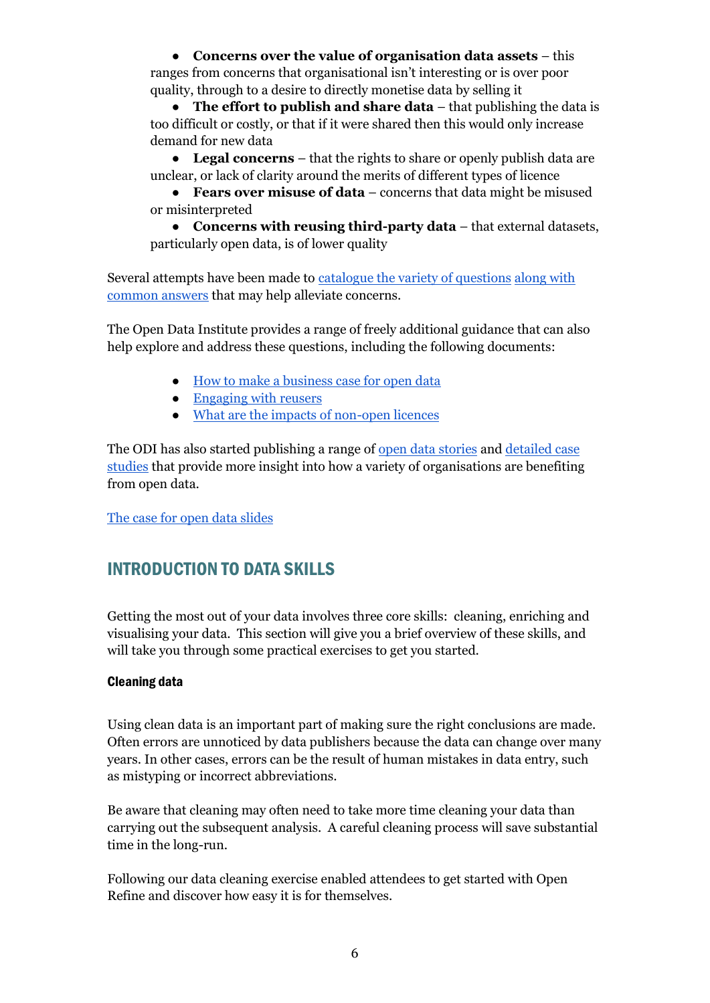● **Concerns over the value of organisation data assets** – this ranges from concerns that organisational isn't interesting or is over poor quality, through to a desire to directly monetise data by selling it

● **The effort to publish and share data** – that publishing the data is too difficult or costly, or that if it were shared then this would only increase demand for new data

● **Legal concerns** – that the rights to share or openly publish data are unclear, or lack of clarity around the merits of different types of licence

● **Fears over misuse of data** – concerns that data might be misused or misinterpreted

● **Concerns with reusing third-party data** – that external datasets, particularly open data, is of lower quality

Several attempts have been made to [catalogue the variety of questions](http://bit.ly/concerns-with-opening-data) [along with](http://bit.ly/barriers-data-sharing)  [common answers](http://bit.ly/barriers-data-sharing) that may help alleviate concerns.

The Open Data Institute provides a range of freely additional guidance that can also help explore and address these questions, including the following documents:

- [How to make a business case for open data](http://theodi.org/guides/how-make-business-case-open-data)
- [Engaging with reusers](http://theodi.org/guides/engaging-reusers)
- [What are the impacts of non-open licences](http://theodi.org/guides/impacts-of-non-open-licenses)

The ODI has also started publishing a range of [open data stories](http://theodi.org/stories) and [detailed case](http://theodi.org/ea-going-open-summary)  [studies](http://theodi.org/ea-going-open-summary) that provide more insight into how a variety of organisations are benefiting from open data.

[The case for open data slides](https://docs.google.com/presentation/d/1Fpg07qaEbiSBV82TzbJEd7mdn4z9RBsbWPGXC_WCLdw/edit?usp=sharing)

# INTRODUCTION TO DATA SKILLS

Getting the most out of your data involves three core skills: cleaning, enriching and visualising your data. This section will give you a brief overview of these skills, and will take you through some practical exercises to get you started.

#### Cleaning data

Using clean data is an important part of making sure the right conclusions are made. Often errors are unnoticed by data publishers because the data can change over many years. In other cases, errors can be the result of human mistakes in data entry, such as mistyping or incorrect abbreviations.

Be aware that cleaning may often need to take more time cleaning your data than carrying out the subsequent analysis. A careful cleaning process will save substantial time in the long-run.

Following our data cleaning exercise enabled attendees to get started with Open Refine and discover how easy it is for themselves.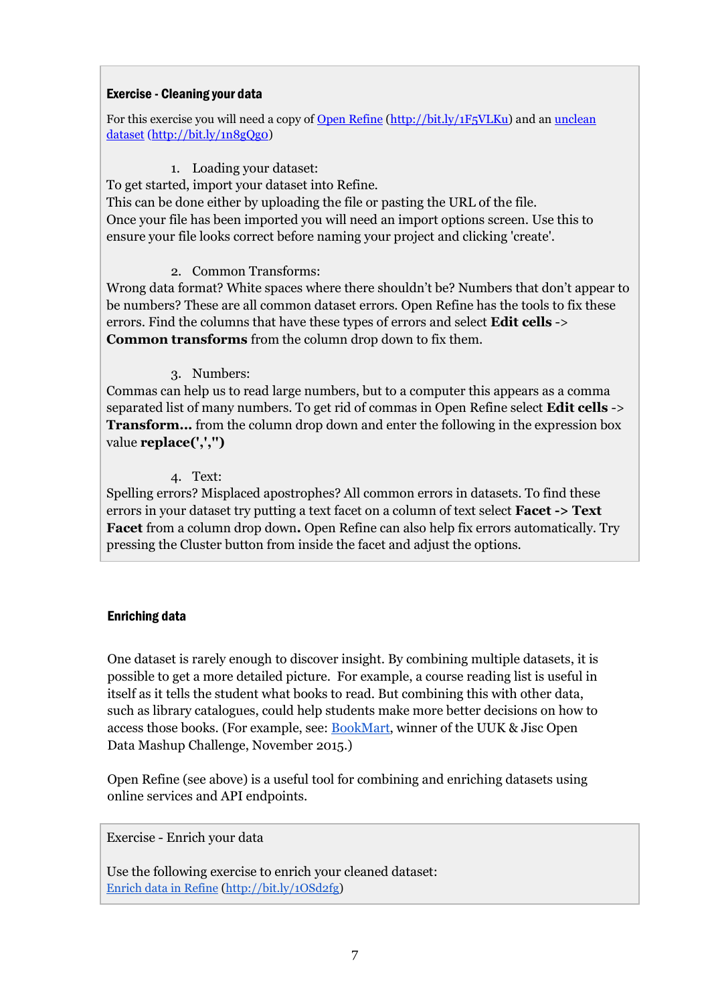#### Exercise - Cleaning your data

For this exercise you will need a copy of [Open Refine](http://openrefine.org/download.html) [\(http://bit.ly/1F5VLKu\)](http://bit.ly/1F5VLKu) and an [unclean](http://training.theodi.org/DataWorkshop/course/en/exercises/Spend_april_10_unclean.csv)  [dataset](http://training.theodi.org/DataWorkshop/course/en/exercises/Spend_april_10_unclean.csv) [\(http://bit.ly/1n8gQg0\)](http://bit.ly/1n8gQg0)

# 1. Loading your dataset:

To get started, import your dataset into Refine.

This can be done either by uploading the file or pasting the URL of the file. Once your file has been imported you will need an import options screen. Use this to ensure your file looks correct before naming your project and clicking 'create'.

## 2. Common Transforms:

Wrong data format? White spaces where there shouldn't be? Numbers that don't appear to be numbers? These are all common dataset errors. Open Refine has the tools to fix these errors. Find the columns that have these types of errors and select **Edit cells** -> **Common transforms** from the column drop down to fix them.

## 3. Numbers:

Commas can help us to read large numbers, but to a computer this appears as a comma separated list of many numbers. To get rid of commas in Open Refine select **Edit cells** -> **Transform...** from the column drop down and enter the following in the expression box value **replace(',','')**

## 4. Text:

Spelling errors? Misplaced apostrophes? All common errors in datasets. To find these errors in your dataset try putting a text facet on a column of text select **Facet -> Text Facet** from a column drop down**.** Open Refine can also help fix errors automatically. Try pressing the Cluster button from inside the facet and adjust the options.

#### Enriching data

One dataset is rarely enough to discover insight. By combining multiple datasets, it is possible to get a more detailed picture. For example, a course reading list is useful in itself as it tells the student what books to read. But combining this with other data, such as library catalogues, could help students make more better decisions on how to access those books. (For example, see: [BookMart,](https://www.jisc.ac.uk/news/lancaster-university-graduate-trainee-wins-competition-for-app-to-improve-student-life-19-nov) winner of the UUK & Jisc Open Data Mashup Challenge, November 2015.)

Open Refine (see above) is a useful tool for combining and enriching datasets using online services and API endpoints.

Exercise - Enrich your data

Use the following exercise to enrich your cleaned dataset: [Enrich data in Refine](http://training.theodi.org/DataWorkshop/course/en/exercises/EnrichingData.pdf) [\(http://bit.ly/1OSd2fg\)](http://bit.ly/1OSd2fg)